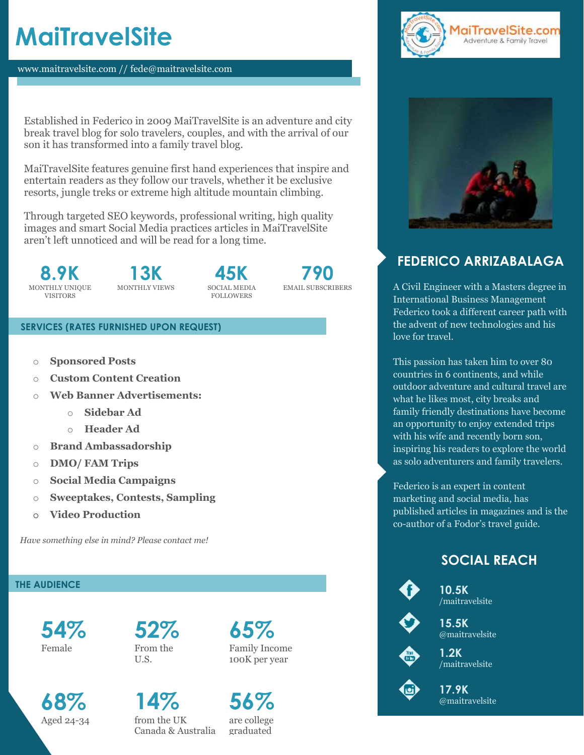# **MaiTravelSite**

www.maitravelsite.com // fede@maitravelsite.com with  $\mathcal{L}_{\text{max}}$  we be the  $\mathcal{L}_{\text{max}}$  . Experimentally, we email.com . experimentally, we email.com .

Established in Federico in 2009 MaiTravelSite is an adventure and city break travel blog for solo travelers, couples, and with the arrival of our son it has transformed into a family travel blog.

MaiTravelSite features genuine first hand experiences that inspire and entertain readers as they follow our travels, whether it be exclusive resorts, jungle treks or extreme high altitude mountain climbing.

Through targeted SEO keywords, professional writing, high quality images and smart Social Media practices articles in MaiTravelSite aren't left unnoticed and will be read for a long time.

**8.9K** MONTHLY UNIQUE VISITORS

**13K** MONTHLY VIEWS

**45K** SOCIAL MEDIA **FOLLOWERS** 



#### **SERVICES (RATES FURNISHED UPON REQUEST)**

- o **Sponsored Posts**
- o **Custom Content Creation**
- o **Web Banner Advertisements:**
	- o **Sidebar Ad**
	- o **Header Ad**
- o **Brand Ambassadorship**
- o **DMO/ FAM Trips**
- o **Social Media Campaigns**
- o **Sweeptakes, Contests, Sampling**
- o **Video Production**

 *Have something else in mind? Please contact me!*

## **THE AUDIENCE**

**54%** Female

**68%**  Aged 24-34 **52%**  From the U.S.

**65%**  Family Income 100K per year

**14%**  from the UK Canada & Australia

**56%**  are college graduated





## **FEDERICO ARRIZABALAGA**

A Civil Engineer with a Masters degree in International Business Management Federico took a different career path with the advent of new technologies and his love for travel.

This passion has taken him to over 80 countries in 6 continents, and while outdoor adventure and cultural travel are what he likes most, city breaks and family friendly destinations have become an opportunity to enjoy extended trips with his wife and recently born son, inspiring his readers to explore the world as solo adventurers and family travelers.

Federico is an expert in content marketing and social media, has published articles in magazines and is the co-author of a Fodor's travel guide.

## **SOCIAL REACH**



**10.5K** /maitravelsite



**15.5K** @maitravelsite



**1.2K** /maitravelsite